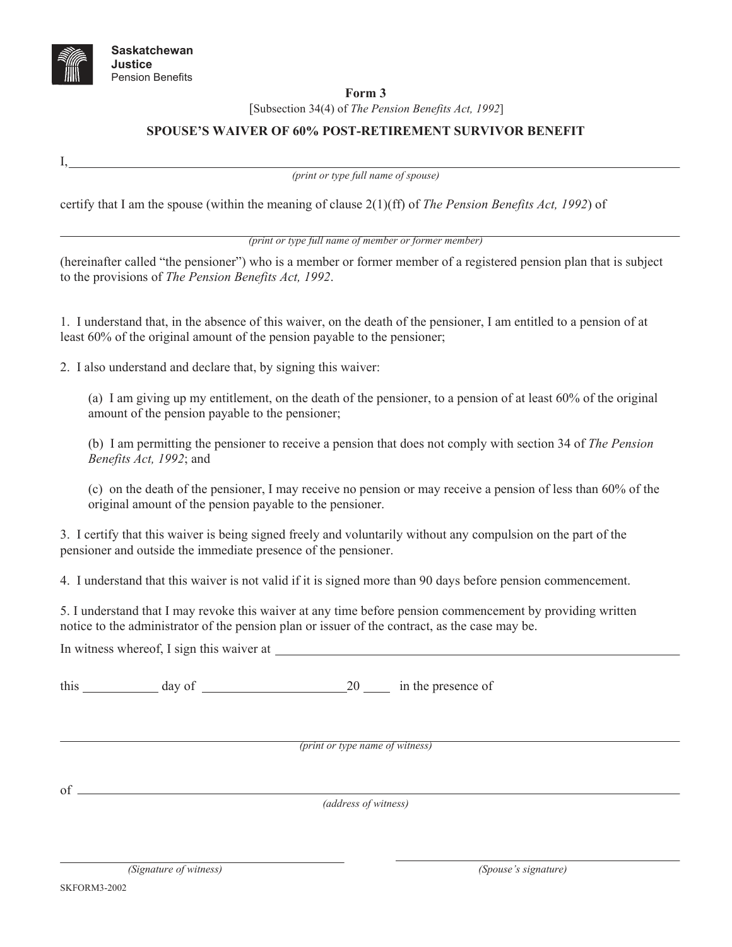

I,

## **Form 3**

[Subsection 34(4) of *The Pension Benefits Act, 1992*]

## **SPOUSE'S WAIVER OF 60% POST-RETIREMENT SURVIVOR BENEFIT**

*(print or type full name of spouse)*

certify that I am the spouse (within the meaning of clause 2(1)(ff) of *The Pension Benefits Act, 1992*) of

*(print or type full name of member or former member)* 

(hereinafter called "the pensioner") who is a member or former member of a registered pension plan that is subject to the provisions of *The Pension Benefits Act, 1992*.

1. I understand that, in the absence of this waiver, on the death of the pensioner, I am entitled to a pension of at least 60% of the original amount of the pension payable to the pensioner;

2. I also understand and declare that, by signing this waiver:

(a) I am giving up my entitlement, on the death of the pensioner, to a pension of at least 60% of the original amount of the pension payable to the pensioner;

(b) I am permitting the pensioner to receive a pension that does not comply with section 34 of *The Pension Benefits Act, 1992*; and

(c) on the death of the pensioner, I may receive no pension or may receive a pension of less than 60% of the original amount of the pension payable to the pensioner.

3. I certify that this waiver is being signed freely and voluntarily without any compulsion on the part of the pensioner and outside the immediate presence of the pensioner.

4. I understand that this waiver is not valid if it is signed more than 90 days before pension commencement.

5. I understand that I may revoke this waiver at any time before pension commencement by providing written notice to the administrator of the pension plan or issuer of the contract, as the case may be.

In witness whereof, I sign this waiver at

this day of 20 in the presence of

*(print or type name of witness)* 

of

*(address of witness)*